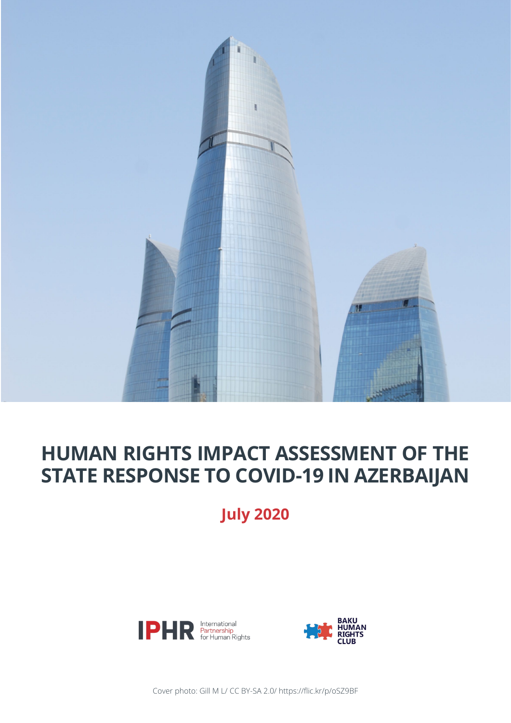

### **HUMAN RIGHTS IMPACT ASSESSMENT OF THE STATE RESPONSE TO COVID-19 IN AZERBAIJAN**

**July 2020**





Cover photo: Gill M L/ CC BY-SA 2.0/ https://flic.kr/p/oSZ9BF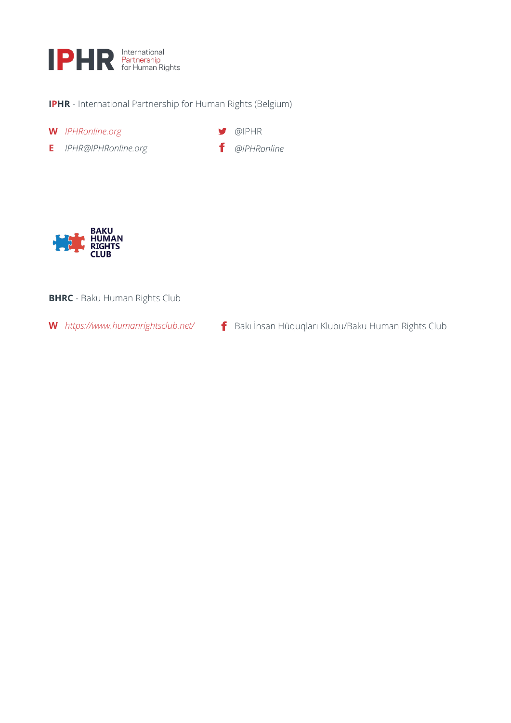

- **IPHR** International Partnership for Human Rights (Belgium)
- **W** *IPHRonline.org*
- **E** *IPHR@IPHRonline.org*

**S** @IPHR *[@IPHRonline](https://www.facebook.com/IPHRonline/)*



#### **BHRC** - Baku Human Rights Club

**W** *<https://www.humanrightsclub.net/>* Bakı İnsan Hüquqları Klubu/Baku Human Rights Club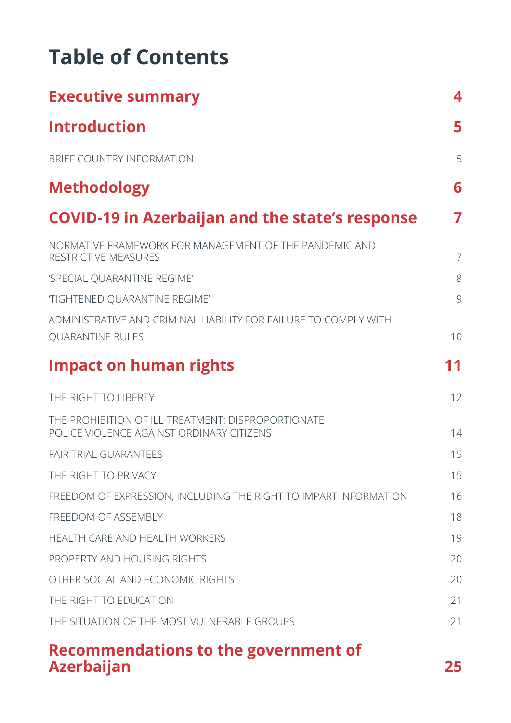# **Table of Contents**

| <b>Executive summary</b>                                                                        | 4              |
|-------------------------------------------------------------------------------------------------|----------------|
| <b>Introduction</b>                                                                             | 5              |
| BRIEF COUNTRY INFORMATION                                                                       | 5              |
| <b>Methodology</b>                                                                              | 6              |
| <b>COVID-19 in Azerbaijan and the state's response</b>                                          | 7              |
| NORMATIVE FRAMEWORK FOR MANAGEMENT OF THE PANDEMIC AND<br>RESTRICTIVE MEASURES                  | $\overline{7}$ |
| 'SPECIAL QUARANTINE REGIME'                                                                     | 8              |
| 'TIGHTENED QUARANTINE REGIME'                                                                   | 9              |
| ADMINISTRATIVE AND CRIMINAL LIABILITY FOR FAILURE TO COMPLY WITH<br><b>QUARANTINE RULES</b>     | 10             |
| <b>Impact on human rights</b>                                                                   | 11             |
| THE RIGHT TO LIBERTY                                                                            | 12             |
| THE PROHIBITION OF ILL-TREATMENT: DISPROPORTIONATE<br>POLICE VIOLENCE AGAINST ORDINARY CITIZENS | 14             |
| <b>FAIR TRIAL GUARANTEES</b>                                                                    | 15             |
| THE RIGHT TO PRIVACY                                                                            | 15             |
| FREEDOM OF EXPRESSION, INCLUDING THE RIGHT TO IMPART INFORMATION                                | 16             |
| FREEDOM OF ASSEMBLY                                                                             | 18             |
| HEALTH CARE AND HEALTH WORKERS                                                                  | 19             |
| PROPERTY AND HOUSING RIGHTS                                                                     | 20             |
| OTHER SOCIAL AND ECONOMIC RIGHTS                                                                | 20             |
| THE RIGHT TO EDUCATION                                                                          | 21             |
| THE SITUATION OF THE MOST VULNERABLE GROUPS                                                     | 21             |
|                                                                                                 |                |

#### **[Recommendations to the government of](#page-24-0)  [Azerbaijan](#page-24-0) 25**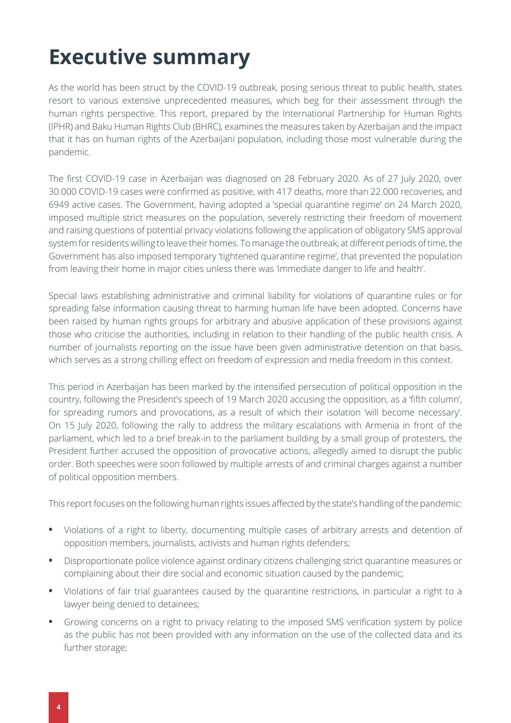## <span id="page-3-0"></span>**Executive summary**

As the world has been struct by the COVID-19 outbreak, posing serious threat to public health, states resort to various extensive unprecedented measures, which beg for their assessment through the human rights perspective. This report, prepared by the International Partnership for Human Rights (IPHR) and Baku Human Rights Club (BHRC), examines the measures taken by Azerbaijan and the impact that it has on human rights of the Azerbaijani population, including those most vulnerable during the pandemic.

The first COVID-19 case in Azerbaijan was diagnosed on 28 February 2020. As of 27 July 2020, over 30.000 COVID-19 cases were confirmed as positive, with 417 deaths, more than 22.000 recoveries, and 6949 active cases. The Government, having adopted a 'special quarantine regime' on 24 March 2020, imposed multiple strict measures on the population, severely restricting their freedom of movement and raising questions of potential privacy violations following the application of obligatory SMS approval system for residents willing to leave their homes. To manage the outbreak, at different periods of time, the Government has also imposed temporary 'tightened quarantine regime', that prevented the population from leaving their home in major cities unless there was 'immediate danger to life and health'.

Special laws establishing administrative and criminal liability for violations of quarantine rules or for spreading false information causing threat to harming human life have been adopted. Concerns have been raised by human rights groups for arbitrary and abusive application of these provisions against those who criticise the authorities, including in relation to their handling of the public health crisis. A number of journalists reporting on the issue have been given administrative detention on that basis, which serves as a strong chilling effect on freedom of expression and media freedom in this context.

This period in Azerbaijan has been marked by the intensified persecution of political opposition in the country, following the President's speech of 19 March 2020 accusing the opposition, as a 'fifth column', for spreading rumors and provocations, as a result of which their isolation 'will become necessary'. On 15 July 2020, following the rally to address the military escalations with Armenia in front of the parliament, which led to a brief break-in to the parliament building by a small group of protesters, the President further accused the opposition of provocative actions, allegedly aimed to disrupt the public order. Both speeches were soon followed by multiple arrests of and criminal charges against a number of political opposition members.

This report focuses on the following human rights issues affected by the state's handling of the pandemic:

- **•** Violations of a right to liberty, documenting multiple cases of arbitrary arrests and detention of opposition members, journalists, activists and human rights defenders;
- **•** Disproportionate police violence against ordinary citizens challenging strict quarantine measures or complaining about their dire social and economic situation caused by the pandemic;
- **•** Violations of fair trial guarantees caused by the quarantine restrictions, in particular a right to a lawyer being denied to detainees;
- **•** Growing concerns on a right to privacy relating to the imposed SMS verification system by police as the public has not been provided with any information on the use of the collected data and its further storage;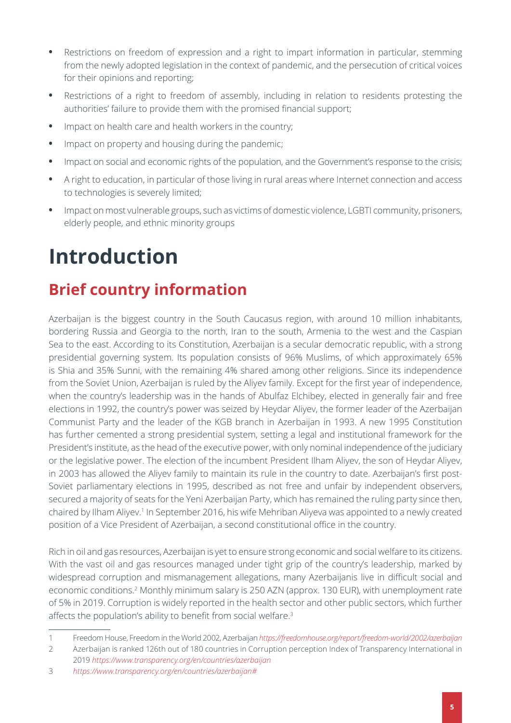- **•** Restrictions on freedom of expression and a right to impart information in particular, stemming from the newly adopted legislation in the context of pandemic, and the persecution of critical voices for their opinions and reporting;
- **•** Restrictions of a right to freedom of assembly, including in relation to residents protesting the authorities' failure to provide them with the promised financial support;
- **•** Impact on health care and health workers in the country;
- **•** Impact on property and housing during the pandemic;
- **•** Impact on social and economic rights of the population, and the Government's response to the crisis;
- **•** A right to education, in particular of those living in rural areas where Internet connection and access to technologies is severely limited;
- **•** Impact on most vulnerable groups, such as victims of domestic violence, LGBTI community, prisoners, elderly people, and ethnic minority groups

# <span id="page-4-0"></span>**Introduction**

### **Brief country information**

Azerbaijan is the biggest country in the South Caucasus region, with around 10 million inhabitants, bordering Russia and Georgia to the north, Iran to the south, Armenia to the west and the Caspian Sea to the east. According to its Constitution, Azerbaijan is a secular democratic republic, with a strong presidential governing system. Its population consists of 96% Muslims, of which approximately 65% is Shia and 35% Sunni, with the remaining 4% shared among other religions. Since its independence from the Soviet Union, Azerbaijan is ruled by the Aliyev family. Except for the first year of independence, when the country's leadership was in the hands of Abulfaz Elchibey, elected in generally fair and free elections in 1992, the country's power was seized by Heydar Aliyev, the former leader of the Azerbaijan Communist Party and the leader of the KGB branch in Azerbaijan in 1993. A new 1995 Constitution has further cemented a strong presidential system, setting a legal and institutional framework for the President's institute, as the head of the executive power, with only nominal independence of the judiciary or the legislative power. The election of the incumbent President Ilham Aliyev, the son of Heydar Aliyev, in 2003 has allowed the Aliyev family to maintain its rule in the country to date. Azerbaijan's first post-Soviet parliamentary elections in 1995, described as not free and unfair by independent observers, secured a majority of seats for the Yeni Azerbaijan Party, which has remained the ruling party since then, chaired by Ilham Aliyev.<sup>1</sup> In September 2016, his wife Mehriban Aliyeva was appointed to a newly created position of a Vice President of Azerbaijan, a second constitutional office in the country.

Rich in oil and gas resources, Azerbaijan is yet to ensure strong economic and social welfare to its citizens. With the vast oil and gas resources managed under tight grip of the country's leadership, marked by widespread corruption and mismanagement allegations, many Azerbaijanis live in difficult social and economic conditions.<sup>2</sup> Monthly minimum salary is 250 AZN (approx. 130 EUR), with unemployment rate of 5% in 2019. Corruption is widely reported in the health sector and other public sectors, which further affects the population's ability to benefit from social welfare.<sup>3</sup>

2 Azerbaijan is ranked 126th out of 180 countries in Corruption perception Index of Transparency International in 2019 *<https://www.transparency.org/en/countries/azerbaijan>*

<sup>1</sup> Freedom House, Freedom in the World 2002, Azerbaijan *<https://freedomhouse.org/report/freedom-world/2002/azerbaijan>*

<sup>3</sup> *[https://www.transparency.org/en/countries/azerbaijan#](https://www.transparency.org/en/countries/azerbaijan)*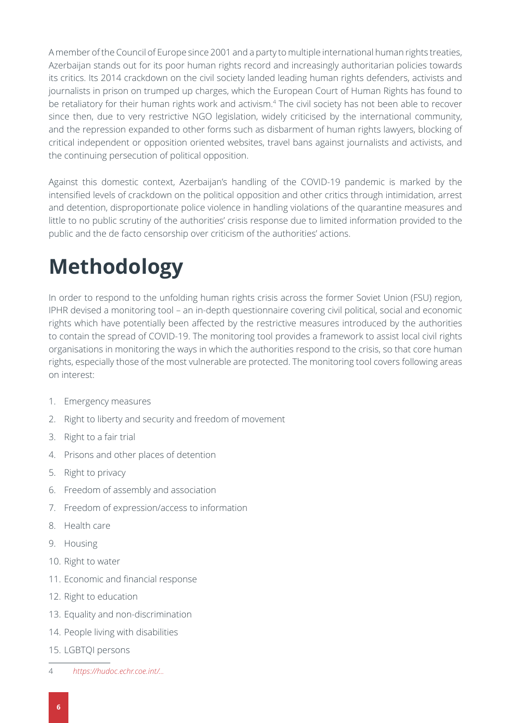A member of the Council of Europe since 2001 and a party to multiple international human rights treaties, Azerbaijan stands out for its poor human rights record and increasingly authoritarian policies towards its critics. Its 2014 crackdown on the civil society landed leading human rights defenders, activists and journalists in prison on trumped up charges, which the European Court of Human Rights has found to be retaliatory for their human rights work and activism.<sup>4</sup> The civil society has not been able to recover since then, due to very restrictive NGO legislation, widely criticised by the international community, and the repression expanded to other forms such as disbarment of human rights lawyers, blocking of critical independent or opposition oriented websites, travel bans against journalists and activists, and the continuing persecution of political opposition.

Against this domestic context, Azerbaijan's handling of the COVID-19 pandemic is marked by the intensified levels of crackdown on the political opposition and other critics through intimidation, arrest and detention, disproportionate police violence in handling violations of the quarantine measures and little to no public scrutiny of the authorities' crisis response due to limited information provided to the public and the de facto censorship over criticism of the authorities' actions.

# **Methodology**

In order to respond to the unfolding human rights crisis across the former Soviet Union (FSU) region, IPHR devised a monitoring tool – an in-depth questionnaire covering civil political, social and economic rights which have potentially been affected by the restrictive measures introduced by the authorities to contain the spread of COVID-19. The monitoring tool provides a framework to assist local civil rights organisations in monitoring the ways in which the authorities respond to the crisis, so that core human rights, especially those of the most vulnerable are protected. The monitoring tool covers following areas on interest:

- 1. Emergency measures
- 2. Right to liberty and security and freedom of movement
- 3. Right to a fair trial
- 4. Prisons and other places of detention
- 5. Right to privacy
- 6. Freedom of assembly and association
- 7. Freedom of expression/access to information
- 8. Health care
- 9. Housing
- 10. Right to water
- 11. Economic and financial response
- 12. Right to education
- 13. Equality and non-discrimination
- 14. People living with disabilities
- 15. LGBTQI persons
- 4 *[https://hudoc.echr.coe.int/](https://hudoc.echr.coe.int/eng#{%22languageisocode%22:[%22FRE%22],%22respondent%22:[%22AZE%22],%22do)...*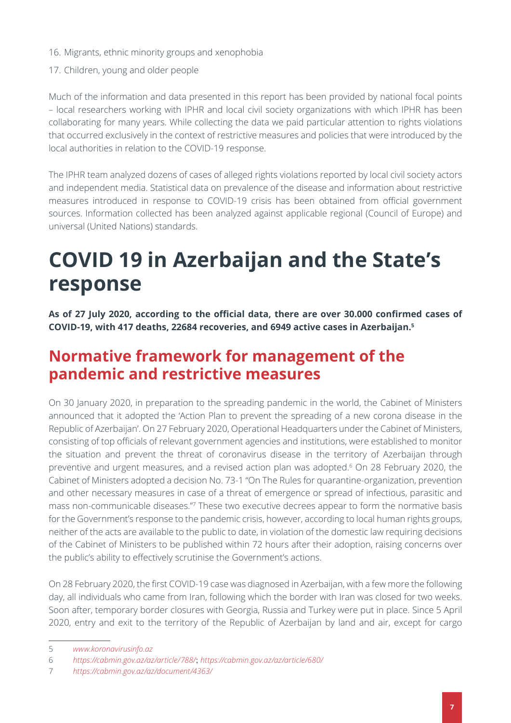- 16. Migrants, ethnic minority groups and xenophobia
- 17. Children, young and older people

Much of the information and data presented in this report has been provided by national focal points – local researchers working with IPHR and local civil society organizations with which IPHR has been collaborating for many years. While collecting the data we paid particular attention to rights violations that occurred exclusively in the context of restrictive measures and policies that were introduced by the local authorities in relation to the COVID-19 response.

The IPHR team analyzed dozens of cases of alleged rights violations reported by local civil society actors and independent media. Statistical data on prevalence of the disease and information about restrictive measures introduced in response to COVID-19 crisis has been obtained from official government sources. Information collected has been analyzed against applicable regional (Council of Europe) and universal (United Nations) standards.

## **COVID 19 in Azerbaijan and the State's response**

**As of 27 July 2020, according to the official data, there are over 30.000 confirmed cases of COVID-19, with 417 deaths, 22684 recoveries, and 6949 active cases in Azerbaijan.<sup>5</sup>**

#### **Normative framework for management of the pandemic and restrictive measures**

On 30 January 2020, in preparation to the spreading pandemic in the world, the Cabinet of Ministers announced that it adopted the 'Action Plan to prevent the spreading of a new corona disease in the Republic of Azerbaijan'. On 27 February 2020, Operational Headquarters under the Cabinet of Ministers, consisting of top officials of relevant government agencies and institutions, were established to monitor the situation and prevent the threat of coronavirus disease in the territory of Azerbaijan through preventive and urgent measures, and a revised action plan was adopted.6 On 28 February 2020, the Cabinet of Ministers adopted a decision No. 73-1 "On The Rules for quarantine-organization, prevention and other necessary measures in case of a threat of emergence or spread of infectious, parasitic and mass non-communicable diseases."7 These two executive decrees appear to form the normative basis for the Government's response to the pandemic crisis, however, according to local human rights groups, neither of the acts are available to the public to date, in violation of the domestic law requiring decisions of the Cabinet of Ministers to be published within 72 hours after their adoption, raising concerns over the public's ability to effectively scrutinise the Government's actions.

On 28 February 2020, the first COVID-19 case was diagnosed in Azerbaijan, with a few more the following day, all individuals who came from Iran, following which the border with Iran was closed for two weeks. Soon after, temporary border closures with Georgia, Russia and Turkey were put in place. Since 5 April 2020, entry and exit to the territory of the Republic of Azerbaijan by land and air, except for cargo

<sup>5</sup> *[www.koronavirusinfo.az](http://www.koronavirusinfo.az)*

<sup>6</sup> *<https://cabmin.gov.az/az/article/788/>*; *<https://cabmin.gov.az/az/article/680/>*

<sup>7</sup> *<https://cabmin.gov.az/az/document/4363/>*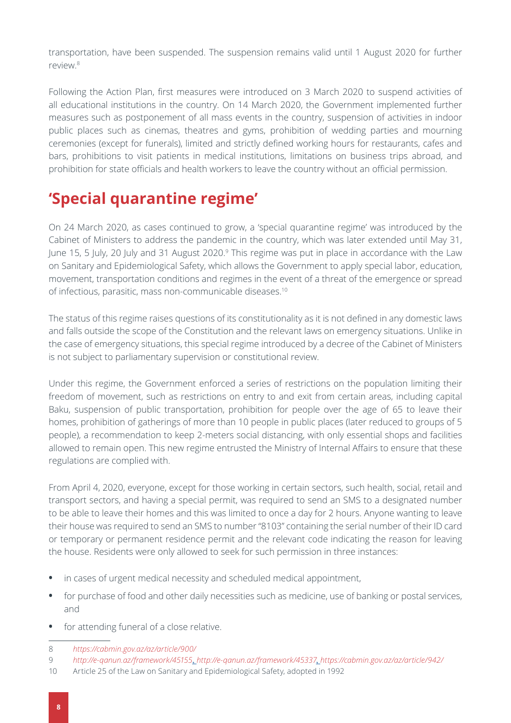transportation, have been suspended. The suspension remains valid until 1 August 2020 for further review.<sup>8</sup>

Following the Action Plan, first measures were introduced on 3 March 2020 to suspend activities of all educational institutions in the country. On 14 March 2020, the Government implemented further measures such as postponement of all mass events in the country, suspension of activities in indoor public places such as cinemas, theatres and gyms, prohibition of wedding parties and mourning ceremonies (except for funerals), limited and strictly defined working hours for restaurants, cafes and bars, prohibitions to visit patients in medical institutions, limitations on business trips abroad, and prohibition for state officials and health workers to leave the country without an official permission.

### **'Special quarantine regime'**

On 24 March 2020, as cases continued to grow, a 'special quarantine regime' was introduced by the Cabinet of Ministers to address the pandemic in the country, which was later extended until May 31, June 15, 5 July, 20 July and 31 August 2020.<sup>9</sup> This regime was put in place in accordance with the Law on Sanitary and Epidemiological Safety, which allows the Government to apply special labor, education, movement, transportation conditions and regimes in the event of a threat of the emergence or spread of infectious, parasitic, mass non-communicable diseases.10

The status of this regime raises questions of its constitutionality as it is not defined in any domestic laws and falls outside the scope of the Constitution and the relevant laws on emergency situations. Unlike in the case of emergency situations, this special regime introduced by a decree of the Cabinet of Ministers is not subject to parliamentary supervision or constitutional review.

Under this regime, the Government enforced a series of restrictions on the population limiting their freedom of movement, such as restrictions on entry to and exit from certain areas, including capital Baku, suspension of public transportation, prohibition for people over the age of 65 to leave their homes, prohibition of gatherings of more than 10 people in public places (later reduced to groups of 5 people), a recommendation to keep 2-meters social distancing, with only essential shops and facilities allowed to remain open. This new regime entrusted the Ministry of Internal Affairs to ensure that these regulations are complied with.

From April 4, 2020, everyone, except for those working in certain sectors, such health, social, retail and transport sectors, and having a special permit, was required to send an SMS to a designated number to be able to leave their homes and this was limited to once a day for 2 hours. Anyone wanting to leave their house was required to send an SMS to number "8103" containing the serial number of their ID card or temporary or permanent residence permit and the relevant code indicating the reason for leaving the house. Residents were only allowed to seek for such permission in three instances:

- **•** in cases of urgent medical necessity and scheduled medical appointment,
- **•** for purchase of food and other daily necessities such as medicine, use of banking or postal services, and
- **•** for attending funeral of a close relative.
- 8 *<https://cabmin.gov.az/az/article/900/>*

<sup>9</sup> *<http://e-qanun.az/framework/45155>*, *<http://e-qanun.az/framework/45337>*, *<https://cabmin.gov.az/az/article/942/>*

<sup>10</sup> Article 25 of the Law on Sanitary and Epidemiological Safety, adopted in 1992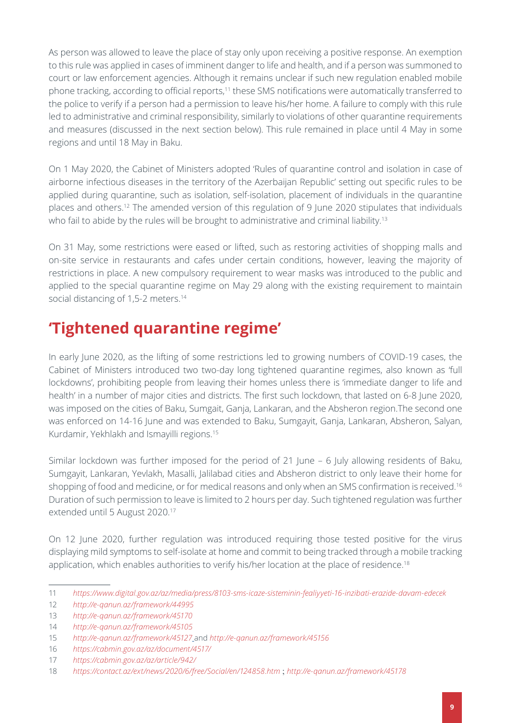As person was allowed to leave the place of stay only upon receiving a positive response. An exemption to this rule was applied in cases of imminent danger to life and health, and if a person was summoned to court or law enforcement agencies. Although it remains unclear if such new regulation enabled mobile phone tracking, according to official reports,11 these SMS notifications were automatically transferred to the police to verify if a person had a permission to leave his/her home. A failure to comply with this rule led to administrative and criminal responsibility, similarly to violations of other quarantine requirements and measures (discussed in the next section below). This rule remained in place until 4 May in some regions and until 18 May in Baku.

On 1 May 2020, the Cabinet of Ministers adopted 'Rules of quarantine control and isolation in case of airborne infectious diseases in the territory of the Azerbaijan Republic' setting out specific rules to be applied during quarantine, such as isolation, self-isolation, placement of individuals in the quarantine places and others.12 The amended version of this regulation of 9 June 2020 stipulates that individuals who fail to abide by the rules will be brought to administrative and criminal liability.<sup>13</sup>

On 31 May, some restrictions were eased or lifted, such as restoring activities of shopping malls and on-site service in restaurants and cafes under certain conditions, however, leaving the majority of restrictions in place. A new compulsory requirement to wear masks was introduced to the public and applied to the special quarantine regime on May 29 along with the existing requirement to maintain social distancing of 1,5-2 meters.<sup>14</sup>

### **'Tightened quarantine regime'**

In early June 2020, as the lifting of some restrictions led to growing numbers of COVID-19 cases, the Cabinet of Ministers introduced two two-day long tightened quarantine regimes, also known as 'full lockdowns', prohibiting people from leaving their homes unless there is 'immediate danger to life and health' in a number of major cities and districts. The first such lockdown, that lasted on 6-8 June 2020, was imposed on the cities of Baku, Sumgait, Ganja, Lankaran, and the Absheron region.The second one was enforced on 14-16 June and was extended to Baku, Sumgayit, Ganja, Lankaran, Absheron, Salyan, Kurdamir, Yekhlakh and Ismayilli regions.15

Similar lockdown was further imposed for the period of 21 June – 6 July allowing residents of Baku, Sumgayit, Lankaran, Yevlakh, Masalli, Jalilabad cities and Absheron district to only leave their home for shopping of food and medicine, or for medical reasons and only when an SMS confirmation is received.16 Duration of such permission to leave is limited to 2 hours per day. Such tightened regulation was further extended until 5 August 2020.17

On 12 June 2020, further regulation was introduced requiring those tested positive for the virus displaying mild symptoms to self-isolate at home and commit to being tracked through a mobile tracking application, which enables authorities to verify his/her location at the place of residence.<sup>18</sup>

<sup>11</sup> *<https://www.digital.gov.az/az/media/press/8103-sms-icaze-sisteminin-fealiyyeti-16-inzibati-erazide-davam-edecek>*

<sup>12</sup> *<http://e-qanun.az/framework/44995>*

<sup>13</sup> *<http://e-qanun.az/framework/45170>*

<sup>14</sup> *<http://e-qanun.az/framework/45105>*

<sup>15</sup> *<http://e-qanun.az/framework/45127>* and *<http://e-qanun.az/framework/45156>*

<sup>16</sup> *<https://cabmin.gov.az/az/document/4517/>*

<sup>17</sup> *<https://cabmin.gov.az/az/article/942/>*

<sup>18</sup> *<https://contact.az/ext/news/2020/6/free/Social/en/124858.htm>* ; *<http://e-qanun.az/framework/45178>*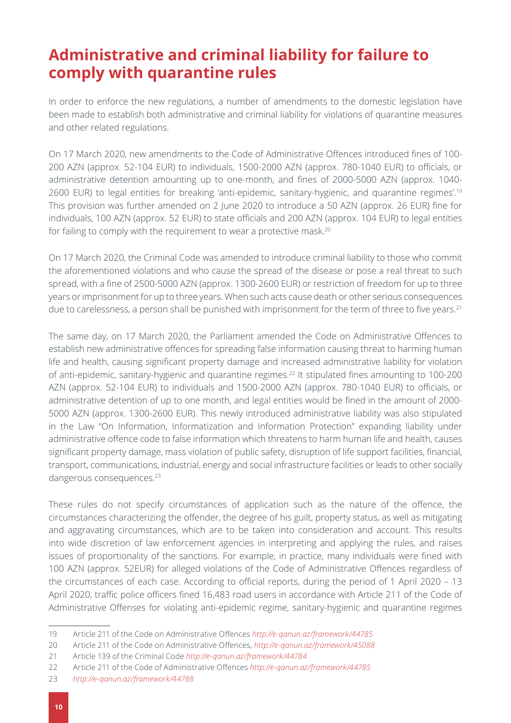#### **Administrative and criminal liability for failure to comply with quarantine rules**

In order to enforce the new regulations, a number of amendments to the domestic legislation have been made to establish both administrative and criminal liability for violations of quarantine measures and other related regulations.

On 17 March 2020, new amendments to the Code of Administrative Offences introduced fines of 100- 200 AZN (approx. 52-104 EUR) to individuals, 1500-2000 AZN (approx. 780-1040 EUR) to officials, or administrative detention amounting up to one-month, and fines of 2000-5000 AZN (approx. 1040- 2600 EUR) to legal entities for breaking 'anti-epidemic, sanitary-hygienic, and quarantine regimes'.<sup>19</sup> This provision was further amended on 2 June 2020 to introduce a 50 AZN (approx. 26 EUR) fine for individuals, 100 AZN (approx. 52 EUR) to state officials and 200 AZN (approx. 104 EUR) to legal entities for failing to comply with the requirement to wear a protective mask.<sup>20</sup>

On 17 March 2020, the Criminal Code was amended to introduce criminal liability to those who commit the aforementioned violations and who cause the spread of the disease or pose a real threat to such spread, with a fine of 2500-5000 AZN (approx. 1300-2600 EUR) or restriction of freedom for up to three years or imprisonment for up to three years. When such acts cause death or other serious consequences due to carelessness, a person shall be punished with imprisonment for the term of three to five years.<sup>21</sup>

The same day, on 17 March 2020, the Parliament amended the Code on Administrative Offences to establish new administrative offences for spreading false information causing threat to harming human life and health, causing significant property damage and increased administrative liability for violation of anti-epidemic, sanitary-hygienic and quarantine regimes.<sup>22</sup> It stipulated fines amounting to 100-200 AZN (approx. 52-104 EUR) to individuals and 1500-2000 AZN (approx. 780-1040 EUR) to officials, or administrative detention of up to one month, and legal entities would be fined in the amount of 2000- 5000 AZN (approx. 1300-2600 EUR). This newly introduced administrative liability was also stipulated in the Law "On Information, Informatization and Information Protection" expanding liability under administrative offence code to false information which threatens to harm human life and health, causes significant property damage, mass violation of public safety, disruption of life support facilities, financial, transport, communications, industrial, energy and social infrastructure facilities or leads to other socially dangerous consequences.<sup>23</sup>

These rules do not specify circumstances of application such as the nature of the offence, the circumstances characterizing the offender, the degree of his guilt, property status, as well as mitigating and aggravating circumstances, which are to be taken into consideration and account. This results into wide discretion of law enforcement agencies in interpreting and applying the rules, and raises issues of proportionality of the sanctions. For example, in practice, many individuals were fined with 100 AZN (approx. 52EUR) for alleged violations of the Code of Administrative Offences regardless of the circumstances of each case. According to official reports, during the period of 1 April 2020 – 13 April 2020, traffic police officers fined 16,483 road users in accordance with Article 211 of the Code of Administrative Offenses for violating anti-epidemic regime, sanitary-hygienic and quarantine regimes

<sup>19</sup> Article 211 of the Code on Administrative Offences *<http://e-qanun.az/framework/44785>*

<sup>20</sup> Article 211 of the Code on Administrative Offences, *<http://e-qanun.az/framework/45088>*

<sup>21</sup> Article 139 of the Criminal Code *<http://e-qanun.az/framework/44784>*

<sup>22</sup> Article 211 of the Code of Administrative Offences *<http://e-qanun.az/framework/44785>*

<sup>23</sup> *<http://e-qanun.az/framework/44788>*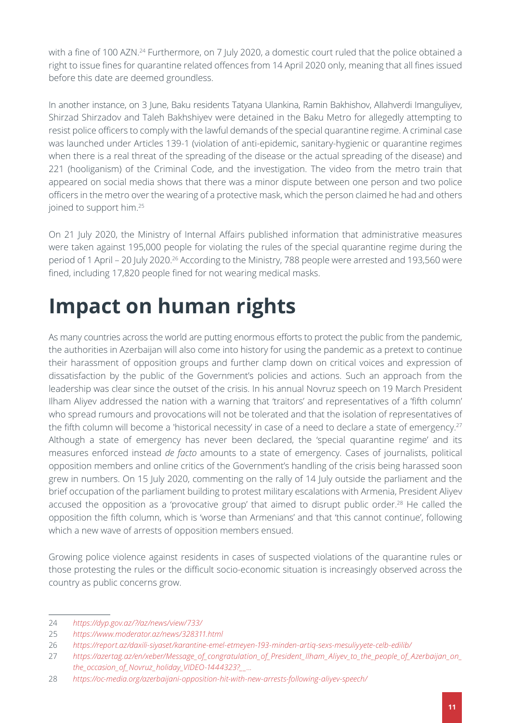with a fine of 100 AZN.<sup>24</sup> Furthermore, on 7 July 2020, a domestic court ruled that the police obtained a right to issue fines for quarantine related offences from 14 April 2020 only, meaning that all fines issued before this date are deemed groundless.

In another instance, on 3 June, Baku residents Tatyana Ulankina, Ramin Bakhishov, Allahverdi Imanguliyev, Shirzad Shirzadov and Taleh Bakhshiyev were detained in the Baku Metro for allegedly attempting to resist police officers to comply with the lawful demands of the special quarantine regime. A criminal case was launched under Articles 139-1 (violation of anti-epidemic, sanitary-hygienic or quarantine regimes when there is a real threat of the spreading of the disease or the actual spreading of the disease) and 221 (hooliganism) of the Criminal Code, and the investigation. The video from the metro train that appeared on social media shows that there was a minor dispute between one person and two police officers in the metro over the wearing of a protective mask, which the person claimed he had and others joined to support him.<sup>25</sup>

On 21 July 2020, the Ministry of Internal Affairs published information that administrative measures were taken against 195,000 people for violating the rules of the special quarantine regime during the period of 1 April – 20 July 2020.26 According to the Ministry, 788 people were arrested and 193,560 were fined, including 17,820 people fined for not wearing medical masks.

## <span id="page-10-0"></span>**Impact on human rights**

As many countries across the world are putting enormous efforts to protect the public from the pandemic, the authorities in Azerbaijan will also come into history for using the pandemic as a pretext to continue their harassment of opposition groups and further clamp down on critical voices and expression of dissatisfaction by the public of the Government's policies and actions. Such an approach from the leadership was clear since the outset of the crisis. In his annual Novruz speech on 19 March President Ilham Aliyev addressed the nation with a warning that 'traitors' and representatives of a 'fifth column' who spread rumours and provocations will not be tolerated and that the isolation of representatives of the fifth column will become a 'historical necessity' in case of a need to declare a state of emergency.<sup>27</sup> Although a state of emergency has never been declared, the 'special quarantine regime' and its measures enforced instead *de facto* amounts to a state of emergency. Cases of journalists, political opposition members and online critics of the Government's handling of the crisis being harassed soon grew in numbers. On 15 July 2020, commenting on the rally of 14 July outside the parliament and the brief occupation of the parliament building to protest military escalations with Armenia, President Aliyev accused the opposition as a 'provocative group' that aimed to disrupt public order.<sup>28</sup> He called the opposition the fifth column, which is 'worse than Armenians' and that 'this cannot continue', following which a new wave of arrests of opposition members ensued.

Growing police violence against residents in cases of suspected violations of the quarantine rules or those protesting the rules or the difficult socio-economic situation is increasingly observed across the country as public concerns grow.

<sup>24</sup> *<https://dyp.gov.az/?/az/news/view/733/>*

<sup>25</sup> *<https://www.moderator.az/news/328311.html>*

<sup>26</sup> *<https://report.az/daxili-siyaset/karantine-emel-etmeyen-193-minden-artiq-sexs-mesuliyyete-celb-edilib/>*

<sup>27</sup> *[https://azertag.az/en/xeber/Message\\_of\\_congratulation\\_of\\_President\\_Ilham\\_Aliyev\\_to\\_the\\_people\\_of\\_Azerbaijan\\_on\\_](https://azertag.az/en/xeber/Message_of_congratulation_of_President_Ilham_Aliyev_to_the_people_of_Azerbaijan_on_the_occasion_of_Novruz_holiday_VIDEO-1444323?__cf_chl_jschl_tk__=eadcb70adff69cb3170e2619012886a53eed9c4b-1584646182-0-AWHWVfmbH6eisVK_UcnS-LwkevEt09N0OJYfK0_cAfe3561kxwLyeDVT7bBR0fIUvgBRNibeyd2FEslqk0HvaC7zjSFCqbtiTW5qzSHPLYieNCPe7qEiaIp0GS414JFfqAW6CcoVXugkeJj54pw1Qs3hBjvJdkkX51MVjWz0WKLhi10Gb2DNvUFbCOzhEbTnbxKkgK4vi9ARD-GRkVw_7P8yh6NJpj0ad8LC4gR6iZgM0JFBDJIjI2SB9QDaSvMcoV0qDLARLVzk1bozvERl1E4K-inXCQpTkxVH_vIVjKV5e-dJNhEDQSvaI7FmwDhzCbuSNFnHCAKJ3TnhcYwR068F--bHhgQh-KOa2IIA9cH9_t07rTLvI0cxQIT7mkgqvErp2YM6oA56UNCK5PFSFYCm9nq4EUSmuPTYql8jY9wTQki5eHhWfcqrFAzVZFdFLkB_etfPcZCB9kSXub4a_mM) [the\\_occasion\\_of\\_Novruz\\_holiday\\_VIDEO-1444323?\\_\\_](https://azertag.az/en/xeber/Message_of_congratulation_of_President_Ilham_Aliyev_to_the_people_of_Azerbaijan_on_the_occasion_of_Novruz_holiday_VIDEO-1444323?__cf_chl_jschl_tk__=eadcb70adff69cb3170e2619012886a53eed9c4b-1584646182-0-AWHWVfmbH6eisVK_UcnS-LwkevEt09N0OJYfK0_cAfe3561kxwLyeDVT7bBR0fIUvgBRNibeyd2FEslqk0HvaC7zjSFCqbtiTW5qzSHPLYieNCPe7qEiaIp0GS414JFfqAW6CcoVXugkeJj54pw1Qs3hBjvJdkkX51MVjWz0WKLhi10Gb2DNvUFbCOzhEbTnbxKkgK4vi9ARD-GRkVw_7P8yh6NJpj0ad8LC4gR6iZgM0JFBDJIjI2SB9QDaSvMcoV0qDLARLVzk1bozvERl1E4K-inXCQpTkxVH_vIVjKV5e-dJNhEDQSvaI7FmwDhzCbuSNFnHCAKJ3TnhcYwR068F--bHhgQh-KOa2IIA9cH9_t07rTLvI0cxQIT7mkgqvErp2YM6oA56UNCK5PFSFYCm9nq4EUSmuPTYql8jY9wTQki5eHhWfcqrFAzVZFdFLkB_etfPcZCB9kSXub4a_mM)...*

<sup>28</sup> *<https://oc-media.org/azerbaijani-opposition-hit-with-new-arrests-following-aliyev-speech/>*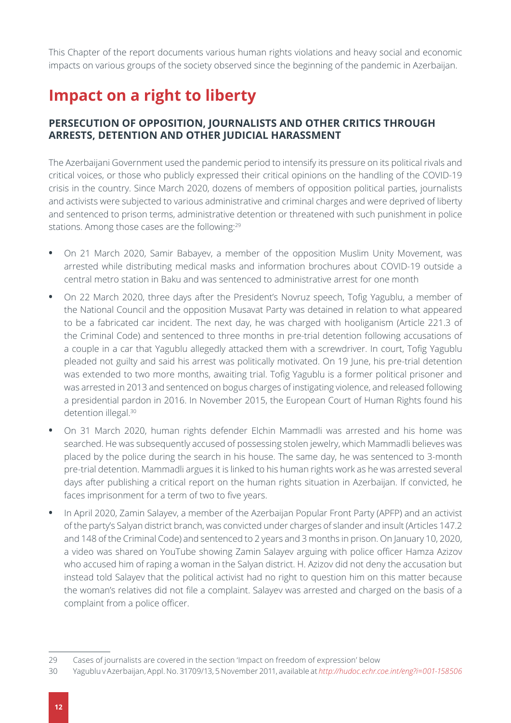This Chapter of the report documents various human rights violations and heavy social and economic impacts on various groups of the society observed since the beginning of the pandemic in Azerbaijan.

### **Impact on a right to liberty**

#### **PERSECUTION OF OPPOSITION, JOURNALISTS AND OTHER CRITICS THROUGH ARRESTS, DETENTION AND OTHER JUDICIAL HARASSMENT**

The Azerbaijani Government used the pandemic period to intensify its pressure on its political rivals and critical voices, or those who publicly expressed their critical opinions on the handling of the COVID-19 crisis in the country. Since March 2020, dozens of members of opposition political parties, journalists and activists were subjected to various administrative and criminal charges and were deprived of liberty and sentenced to prison terms, administrative detention or threatened with such punishment in police stations. Among those cases are the following:<sup>29</sup>

- **•** On 21 March 2020, Samir Babayev, a member of the opposition Muslim Unity Movement, was arrested while distributing medical masks and information brochures about COVID-19 outside a central metro station in Baku and was sentenced to administrative arrest for one month
- **•** On 22 March 2020, three days after the President's Novruz speech, Tofig Yagublu, a member of the National Council and the opposition Musavat Party was detained in relation to what appeared to be a fabricated car incident. The next day, he was charged with hooliganism (Article 221.3 of the Criminal Code) and sentenced to three months in pre-trial detention following accusations of a couple in a car that Yagublu allegedly attacked them with a screwdriver. In court, Tofig Yagublu pleaded not guilty and said his arrest was politically motivated. On 19 June, his pre-trial detention was extended to two more months, awaiting trial. Tofig Yagublu is a former political prisoner and was arrested in 2013 and sentenced on bogus charges of instigating violence, and released following a presidential pardon in 2016. In November 2015, the European Court of Human Rights found his detention illegal.<sup>30</sup>
- **•** On 31 March 2020, human rights defender Elchin Mammadli was arrested and his home was searched. He was subsequently accused of possessing stolen jewelry, which Mammadli believes was placed by the police during the search in his house. The same day, he was sentenced to 3-month pre-trial detention. Mammadli argues it is linked to his human rights work as he was arrested several days after publishing a critical report on the human rights situation in Azerbaijan. If convicted, he faces imprisonment for a term of two to five years.
- **•** In April 2020, Zamin Salayev, a member of the Azerbaijan Popular Front Party (APFP) and an activist of the party's Salyan district branch, was convicted under charges of slander and insult (Articles 147.2 and 148 of the Criminal Code) and sentenced to 2 years and 3 months in prison. On January 10, 2020, a video was shared on YouTube showing Zamin Salayev arguing with police officer Hamza Azizov who accused him of raping a woman in the Salyan district. H. Azizov did not deny the accusation but instead told Salayev that the political activist had no right to question him on this matter because the woman's relatives did not file a complaint. Salayev was arrested and charged on the basis of a complaint from a police officer.

<sup>29</sup> Cases of journalists are covered in the section 'Impact on freedom of expression' below

<sup>30</sup> Yagublu v Azerbaijan, Appl. No. 31709/13, 5 November 2011, available at *<http://hudoc.echr.coe.int/eng?i=001-158506>*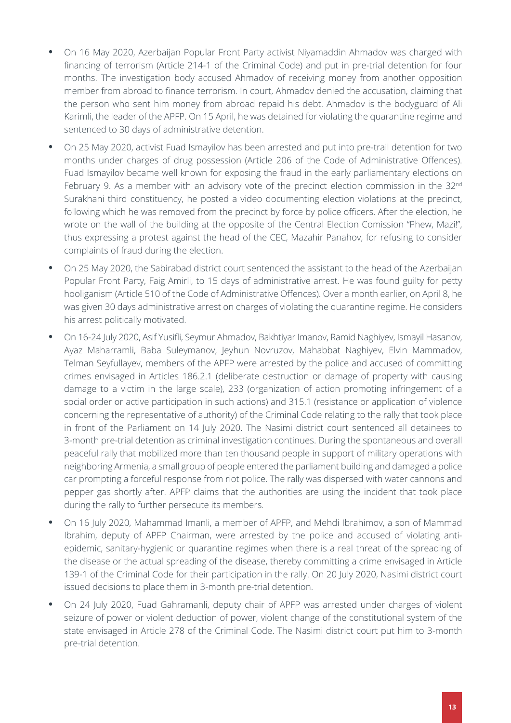- **•** On 16 May 2020, Azerbaijan Popular Front Party activist Niyamaddin Ahmadov was charged with financing of terrorism (Article 214-1 of the Criminal Code) and put in pre-trial detention for four months. The investigation body accused Ahmadov of receiving money from another opposition member from abroad to finance terrorism. In court, Ahmadov denied the accusation, claiming that the person who sent him money from abroad repaid his debt. Ahmadov is the bodyguard of Ali Karimli, the leader of the APFP. On 15 April, he was detained for violating the quarantine regime and sentenced to 30 days of administrative detention.
- **•** On 25 May 2020, activist Fuad Ismayilov has been arrested and put into pre-trail detention for two months under charges of drug possession (Article 206 of the Code of Administrative Offences). Fuad Ismayilov became well known for exposing the fraud in the early parliamentary elections on February 9. As a member with an advisory vote of the precinct election commission in the 32<sup>nd</sup> Surakhani third constituency, he posted a video documenting election violations at the precinct, following which he was removed from the precinct by force by police officers. After the election, he wrote on the wall of the building at the opposite of the Central Election Comission "Phew, Mazi!", thus expressing a protest against the head of the CEC, Mazahir Panahov, for refusing to consider complaints of fraud during the election.
- **•** On 25 May 2020, the Sabirabad district court sentenced the assistant to the head of the Azerbaijan Popular Front Party, Faig Amirli, to 15 days of administrative arrest. He was found guilty for petty hooliganism (Article 510 of the Code of Administrative Offences). Over a month earlier, on April 8, he was given 30 days administrative arrest on charges of violating the quarantine regime. He considers his arrest politically motivated.
- **•** On 16-24 July 2020, Asif Yusifli, Seymur Ahmadov, Bakhtiyar Imanov, Ramid Naghiyev, Ismayil Hasanov, Ayaz Maharramli, Baba Suleymanov, Jeyhun Novruzov, Mahabbat Naghiyev, Elvin Mammadov, Telman Seyfullayev, members of the APFP were arrested by the police and accused of committing crimes envisaged in Articles 186.2.1 (deliberate destruction or damage of property with causing damage to a victim in the large scale), 233 (organization of action promoting infringement of a social order or active participation in such actions) and 315.1 (resistance or application of violence concerning the representative of authority) of the Criminal Code relating to the rally that took place in front of the Parliament on 14 July 2020. The Nasimi district court sentenced all detainees to 3-month pre-trial detention as criminal investigation continues. During the spontaneous and overall peaceful rally that mobilized more than ten thousand people in support of military operations with neighboring Armenia, a small group of people entered the parliament building and damaged a police car prompting a forceful response from riot police. The rally was dispersed with water cannons and pepper gas shortly after. APFP claims that the authorities are using the incident that took place during the rally to further persecute its members.
- **•** On 16 July 2020, Mahammad Imanli, a member of APFP, and Mehdi Ibrahimov, a son of Mammad Ibrahim, deputy of APFP Chairman, were arrested by the police and accused of violating antiepidemic, sanitary-hygienic or quarantine regimes when there is a real threat of the spreading of the disease or the actual spreading of the disease, thereby committing a crime envisaged in Article 139-1 of the Criminal Code for their participation in the rally. On 20 July 2020, Nasimi district court issued decisions to place them in 3-month pre-trial detention.
- **•** On 24 July 2020, Fuad Gahramanli, deputy chair of APFP was arrested under charges of violent seizure of power or violent deduction of power, violent change of the constitutional system of the state envisaged in Article 278 of the Criminal Code. The Nasimi district court put him to 3-month pre-trial detention.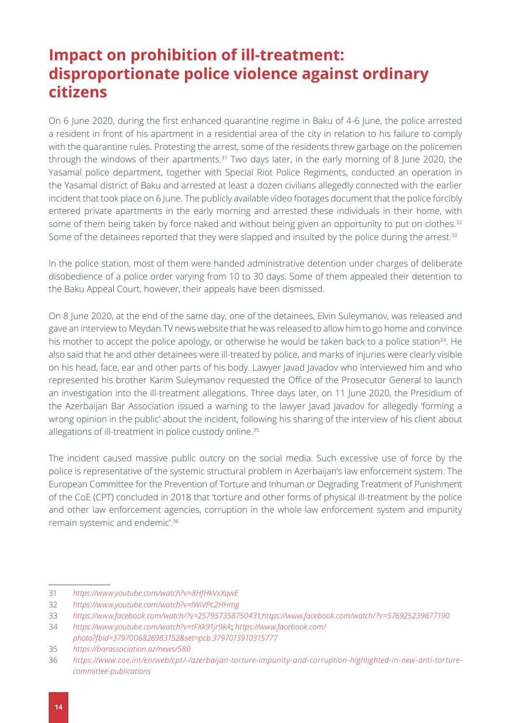#### **Impact on prohibition of ill-treatment: disproportionate police violence against ordinary citizens**

On 6 June 2020, during the first enhanced quarantine regime in Baku of 4-6 June, the police arrested a resident in front of his apartment in a residential area of the city in relation to his failure to comply with the quarantine rules. Protesting the arrest, some of the residents threw garbage on the policemen through the windows of their apartments.<sup>31</sup> Two days later, in the early morning of 8 June 2020, the Yasamal police department, together with Special Riot Police Regiments, conducted an operation in the Yasamal district of Baku and arrested at least a dozen civilians allegedly connected with the earlier incident that took place on 6 June. The publicly available video footages document that the police forcibly entered private apartments in the early morning and arrested these individuals in their home, with some of them being taken by force naked and without being given an opportunity to put on clothes.<sup>32</sup> Some of the detainees reported that they were slapped and insulted by the police during the arrest.<sup>33</sup>

In the police station, most of them were handed administrative detention under charges of deliberate disobedience of a police order varying from 10 to 30 days. Some of them appealed their detention to the Baku Appeal Court, however, their appeals have been dismissed.

On 8 June 2020, at the end of the same day, one of the detainees, Elvin Suleymanov, was released and gave an interview to Meydan.TV news website that he was released to allow him to go home and convince his mother to accept the police apology, or otherwise he would be taken back to a police station<sup>34</sup>. He also said that he and other detainees were ill-treated by police, and marks of injuries were clearly visible on his head, face, ear and other parts of his body. Lawyer Javad Javadov who interviewed him and who represented his brother Karim Suleymanov requested the Office of the Prosecutor General to launch an investigation into the ill-treatment allegations. Three days later, on 11 June 2020, the Presidium of the Azerbaijan Bar Association issued a warning to the lawyer Javad Javadov for allegedly 'forming a wrong opinion in the public' about the incident, following his sharing of the interview of his client about allegations of ill-treatment in police custody online.<sup>35</sup>

The incident caused massive public outcry on the social media. Such excessive use of force by the police is representative of the systemic structural problem in Azerbaijan's law enforcement system. The European Committee for the Prevention of Torture and Inhuman or Degrading Treatment of Punishment of the CoE (CPT) concluded in 2018 that 'torture and other forms of physical ill-treatment by the police and other law enforcement agencies, corruption in the whole law enforcement system and impunity remain systemic and endemic'.36

<sup>31</sup> *<https://www.youtube.com/watch?v=8HfHkVxXqwE>*

<sup>32</sup> *<https://www.youtube.com/watch?v=lWiVPc2HHmg>*

<sup>33</sup> *<https://www.facebook.com/watch/?v=257957358750431;https://www.facebook.com/watch/?v=576925239877190>*

<sup>34</sup> *<https://www.youtube.com/watch?v=tFXk91jr9kA>*; *[https://www.facebook.com/](https://www.facebook.com/photo?fbid=3797006826983152&set=pcb.3797013910315777)*

*[photo?fbid=3797006826983152&set=pcb.3797013910315777](https://www.facebook.com/photo?fbid=3797006826983152&set=pcb.3797013910315777)*

<sup>35</sup> *<https://barassociation.az/news/580>*

<sup>36</sup> *[https://www.coe.int/en/web/cpt/-/azerbaijan-torture-impunity-and-corruption-highlighted-in-new-anti-torture](https://www.coe.int/en/web/cpt/-/azerbaijan-torture-impunity-and-corruption-highlighted-in-new-anti-torture-committee-publications)[committee-publications](https://www.coe.int/en/web/cpt/-/azerbaijan-torture-impunity-and-corruption-highlighted-in-new-anti-torture-committee-publications)*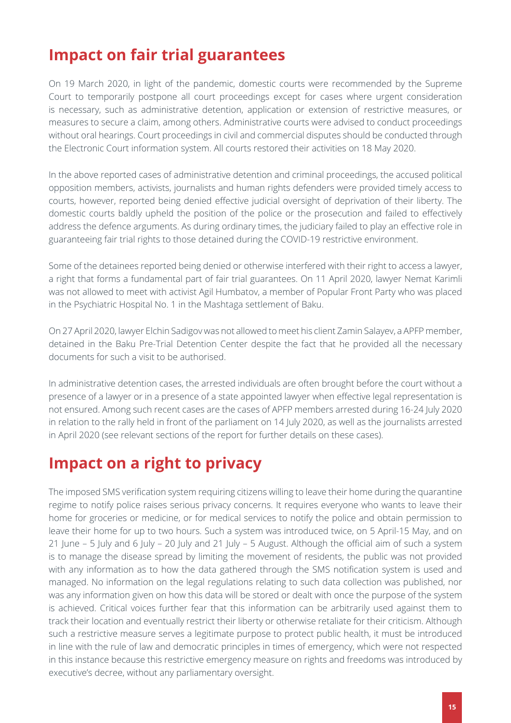#### **Impact on fair trial guarantees**

On 19 March 2020, in light of the pandemic, domestic courts were recommended by the Supreme Court to temporarily postpone all court proceedings except for cases where urgent consideration is necessary, such as administrative detention, application or extension of restrictive measures, or measures to secure a claim, among others. Administrative courts were advised to conduct proceedings without oral hearings. Court proceedings in civil and commercial disputes should be conducted through the Electronic Court information system. All courts restored their activities on 18 May 2020.

In the above reported cases of administrative detention and criminal proceedings, the accused political opposition members, activists, journalists and human rights defenders were provided timely access to courts, however, reported being denied effective judicial oversight of deprivation of their liberty. The domestic courts baldly upheld the position of the police or the prosecution and failed to effectively address the defence arguments. As during ordinary times, the judiciary failed to play an effective role in guaranteeing fair trial rights to those detained during the COVID-19 restrictive environment.

Some of the detainees reported being denied or otherwise interfered with their right to access a lawyer, a right that forms a fundamental part of fair trial guarantees. On 11 April 2020, lawyer Nemat Karimli was not allowed to meet with activist Agil Humbatov, a member of Popular Front Party who was placed in the Psychiatric Hospital No. 1 in the Mashtaga settlement of Baku.

On 27 April 2020, lawyer Elchin Sadigov was not allowed to meet his client Zamin Salayev, a APFP member, detained in the Baku Pre-Trial Detention Center despite the fact that he provided all the necessary documents for such a visit to be authorised.

In administrative detention cases, the arrested individuals are often brought before the court without a presence of a lawyer or in a presence of a state appointed lawyer when effective legal representation is not ensured. Among such recent cases are the cases of APFP members arrested during 16-24 July 2020 in relation to the rally held in front of the parliament on 14 July 2020, as well as the journalists arrested in April 2020 (see relevant sections of the report for further details on these cases).

#### **Impact on a right to privacy**

The imposed SMS verification system requiring citizens willing to leave their home during the quarantine regime to notify police raises serious privacy concerns. It requires everyone who wants to leave their home for groceries or medicine, or for medical services to notify the police and obtain permission to leave their home for up to two hours. Such a system was introduced twice, on 5 April-15 May, and on 21 June – 5 July and 6 July – 20 July and 21 July – 5 August. Although the official aim of such a system is to manage the disease spread by limiting the movement of residents, the public was not provided with any information as to how the data gathered through the SMS notification system is used and managed. No information on the legal regulations relating to such data collection was published, nor was any information given on how this data will be stored or dealt with once the purpose of the system is achieved. Critical voices further fear that this information can be arbitrarily used against them to track their location and eventually restrict their liberty or otherwise retaliate for their criticism. Although such a restrictive measure serves a legitimate purpose to protect public health, it must be introduced in line with the rule of law and democratic principles in times of emergency, which were not respected in this instance because this restrictive emergency measure on rights and freedoms was introduced by executive's decree, without any parliamentary oversight.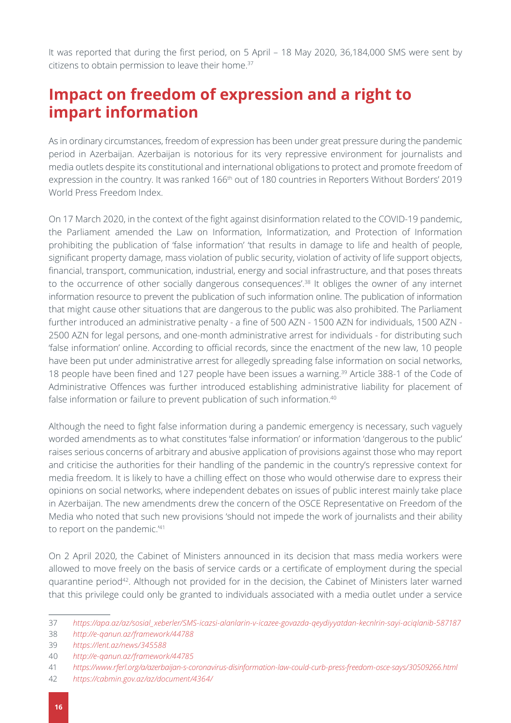It was reported that during the first period, on 5 April – 18 May 2020, 36,184,000 SMS were sent by citizens to obtain permission to leave their home.<sup>37</sup>

#### **Impact on freedom of expression and a right to impart information**

As in ordinary circumstances, freedom of expression has been under great pressure during the pandemic period in Azerbaijan. Azerbaijan is notorious for its very repressive environment for journalists and media outlets despite its constitutional and international obligations to protect and promote freedom of expression in the country. It was ranked 166<sup>th</sup> out of 180 countries in Reporters Without Borders' 2019 World Press Freedom Index.

On 17 March 2020, in the context of the fight against disinformation related to the COVID-19 pandemic, the Parliament amended the Law on Information, Informatization, and Protection of Information prohibiting the publication of 'false information' 'that results in damage to life and health of people, significant property damage, mass violation of public security, violation of activity of life support objects, financial, transport, communication, industrial, energy and social infrastructure, and that poses threats to the occurrence of other socially dangerous consequences'.<sup>38</sup> It obliges the owner of any internet information resource to prevent the publication of such information online. The publication of information that might cause other situations that are dangerous to the public was also prohibited. The Parliament further introduced an administrative penalty - a fine of 500 AZN - 1500 AZN for individuals, 1500 AZN - 2500 AZN for legal persons, and one-month administrative arrest for individuals - for distributing such 'false information' online. According to official records, since the enactment of the new law, 10 people have been put under administrative arrest for allegedly spreading false information on social networks, 18 people have been fined and 127 people have been issues a warning.<sup>39</sup> Article 388-1 of the Code of Administrative Offences was further introduced establishing administrative liability for placement of false information or failure to prevent publication of such information.<sup>40</sup>

Although the need to fight false information during a pandemic emergency is necessary, such vaguely worded amendments as to what constitutes 'false information' or information 'dangerous to the public' raises serious concerns of arbitrary and abusive application of provisions against those who may report and criticise the authorities for their handling of the pandemic in the country's repressive context for media freedom. It is likely to have a chilling effect on those who would otherwise dare to express their opinions on social networks, where independent debates on issues of public interest mainly take place in Azerbaijan. The new amendments drew the concern of the OSCE Representative on Freedom of the Media who noted that such new provisions 'should not impede the work of journalists and their ability to report on the pandemic.'41

On 2 April 2020, the Cabinet of Ministers announced in its decision that mass media workers were allowed to move freely on the basis of service cards or a certificate of employment during the special quarantine period<sup>42</sup>. Although not provided for in the decision, the Cabinet of Ministers later warned that this privilege could only be granted to individuals associated with a media outlet under a service

<sup>37</sup> *[https://apa.az/az/sosial\\_xeberler/SMS-icazsi-alanlarin-v-icazee-govazda-qeydiyyatdan-kecnlrin-sayi-aciqlanib-587187](https://apa.az/az/sosial_xeberler/SMS-icazsi-alanlarin-v-icazee-govazda-qeydiyyatdan-kecnlrin-sayi-aciqlanib-587187)*

<sup>38</sup> *<http://e-qanun.az/framework/44788>*

<sup>39</sup> *<https://lent.az/news/345588>*

<sup>40</sup> *<http://e-qanun.az/framework/44785>*

<sup>41</sup> *<https://www.rferl.org/a/azerbaijan-s-coronavirus-disinformation-law-could-curb-press-freedom-osce-says/30509266.html>*

<sup>42</sup> *<https://cabmin.gov.az/az/document/4364/>*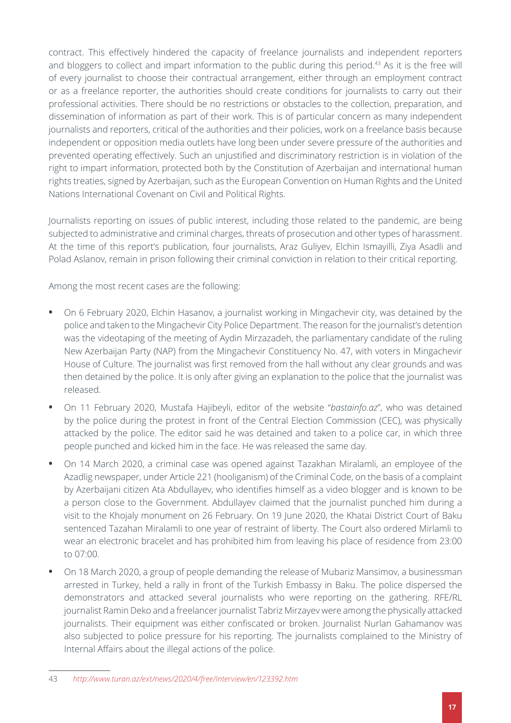contract. This effectively hindered the capacity of freelance journalists and independent reporters and bloggers to collect and impart information to the public during this period.<sup>43</sup> As it is the free will of every journalist to choose their contractual arrangement, either through an employment contract or as a freelance reporter, the authorities should create conditions for journalists to carry out their professional activities. There should be no restrictions or obstacles to the collection, preparation, and dissemination of information as part of their work. This is of particular concern as many independent journalists and reporters, critical of the authorities and their policies, work on a freelance basis because independent or opposition media outlets have long been under severe pressure of the authorities and prevented operating effectively. Such an unjustified and discriminatory restriction is in violation of the right to impart information, protected both by the Constitution of Azerbaijan and international human rights treaties, signed by Azerbaijan, such as the European Convention on Human Rights and the United Nations International Covenant on Civil and Political Rights.

Journalists reporting on issues of public interest, including those related to the pandemic, are being subjected to administrative and criminal charges, threats of prosecution and other types of harassment. At the time of this report's publication, four journalists, Araz Guliyev, Elchin Ismayilli, Ziya Asadli and Polad Aslanov, remain in prison following their criminal conviction in relation to their critical reporting.

Among the most recent cases are the following:

- On 6 February 2020, Elchin Hasanov, a journalist working in Mingachevir city, was detained by the police and taken to the Mingachevir City Police Department. The reason for the journalist's detention was the videotaping of the meeting of Aydin Mirzazadeh, the parliamentary candidate of the ruling New Azerbaijan Party (NAP) from the Mingachevir Constituency No. 47, with voters in Mingachevir House of Culture. The journalist was first removed from the hall without any clear grounds and was then detained by the police. It is only after giving an explanation to the police that the journalist was released.
- **•** On 11 February 2020, Mustafa Hajibeyli, editor of the website "*[bastainfo.az](http://bastainfo.az/)*", who was detained by the police during the protest in front of the Central Election Commission (CEC), was physically attacked by the police. The editor said he was detained and taken to a police car, in which three people punched and kicked him in the face. He was released the same day.
- **•** On 14 March 2020, a criminal case was opened against Tazakhan Miralamli, an employee of the Azadlig newspaper, under Article 221 (hooliganism) of the Criminal Code, on the basis of a complaint by Azerbaijani citizen Ata Abdullayev, who identifies himself as a video blogger and is known to be a person close to the Government. Abdullayev claimed that the journalist punched him during a visit to the Khojaly monument on 26 February. On 19 June 2020, the Khatai District Court of Baku sentenced Tazahan Miralamli to one year of restraint of liberty. The Court also ordered Mirlamli to wear an electronic bracelet and has prohibited him from leaving his place of residence from 23:00 to 07:00.
- **•** On 18 March 2020, a group of people demanding the release of Mubariz Mansimov, a businessman arrested in Turkey, held a rally in front of the Turkish Embassy in Baku. The police dispersed the demonstrators and attacked several journalists who were reporting on the gathering. RFE/RL journalist Ramin Deko and a freelancer journalist Tabriz Mirzayev were among the physically attacked journalists. Their equipment was either confiscated or broken. Journalist Nurlan Gahamanov was also subjected to police pressure for his reporting. The journalists complained to the Ministry of Internal Affairs about the illegal actions of the police.

<sup>43</sup> *<http://www.turan.az/ext/news/2020/4/free/Interview/en/123392.htm>*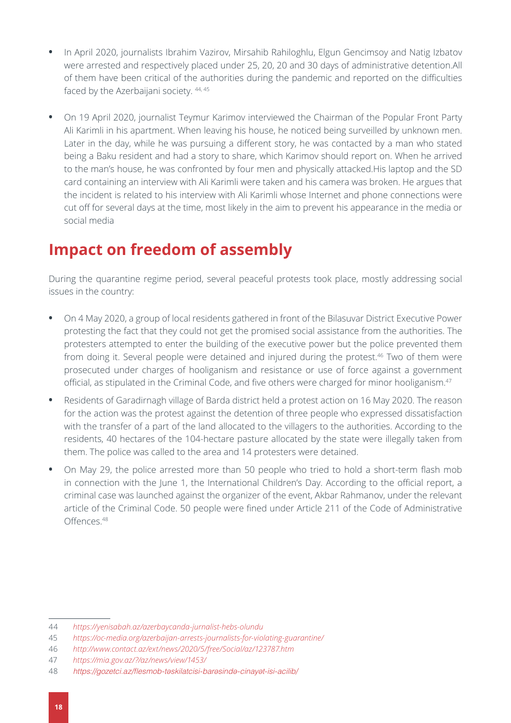- **•** In April 2020, journalists Ibrahim Vazirov, Mirsahib Rahiloghlu, Elgun Gencimsoy and Natig Izbatov were arrested and respectively placed under 25, 20, 20 and 30 days of administrative detention.All of them have been critical of the authorities during the pandemic and reported on the difficulties faced by the Azerbaijani society. 44, 45
- **•** On 19 April 2020, journalist Teymur Karimov interviewed the Chairman of the Popular Front Party Ali Karimli in his apartment. When leaving his house, he noticed being surveilled by unknown men. Later in the day, while he was pursuing a different story, he was contacted by a man who stated being a Baku resident and had a story to share, which Karimov should report on. When he arrived to the man's house, he was confronted by four men and physically attacked.His laptop and the SD card containing an interview with Ali Karimli were taken and his camera was broken. He argues that the incident is related to his interview with Ali Karimli whose Internet and phone connections were cut off for several days at the time, most likely in the aim to prevent his appearance in the media or social media

#### **Impact on freedom of assembly**

During the quarantine regime period, several peaceful protests took place, mostly addressing social issues in the country:

- **•** On 4 May 2020, a group of local residents gathered in front of the Bilasuvar District Executive Power protesting the fact that they could not get the promised social assistance from the authorities. The protesters attempted to enter the building of the executive power but the police prevented them from doing it. Several people were detained and injured during the protest.<sup>46</sup> Two of them were prosecuted under charges of hooliganism and resistance or use of force against a government official, as stipulated in the Criminal Code, and five others were charged for minor hooliganism.47
- **•** Residents of Garadirnagh village of Barda district held a protest action on 16 May 2020. The reason for the action was the protest against the detention of three people who expressed dissatisfaction with the transfer of a part of the land allocated to the villagers to the authorities. According to the residents, 40 hectares of the 104-hectare pasture allocated by the state were illegally taken from them. The police was called to the area and 14 protesters were detained.
- **•** On May 29, the police arrested more than 50 people who tried to hold a short-term flash mob in connection with the June 1, the International Children's Day. According to the official report, a criminal case was launched against the organizer of the event, Akbar Rahmanov, under the relevant article of the Criminal Code. 50 people were fined under Article 211 of the Code of Administrative Offences.48

<sup>44</sup> *<https://yenisabah.az/azerbaycanda-jurnalist-hebs-olundu>*

<sup>45</sup> *<https://oc-media.org/azerbaijan-arrests-journalists-for-violating-guarantine/>*

<sup>46</sup> *<http://www.contact.az/ext/news/2020/5/free/Social/az/123787.htm>*

<sup>47</sup> *<https://mia.gov.az/?/az/news/view/1453/>*

<sup>48</sup> https://gozetci.az/flesmob-təskilatcisi-barəsində-cinayət-isi-acilib/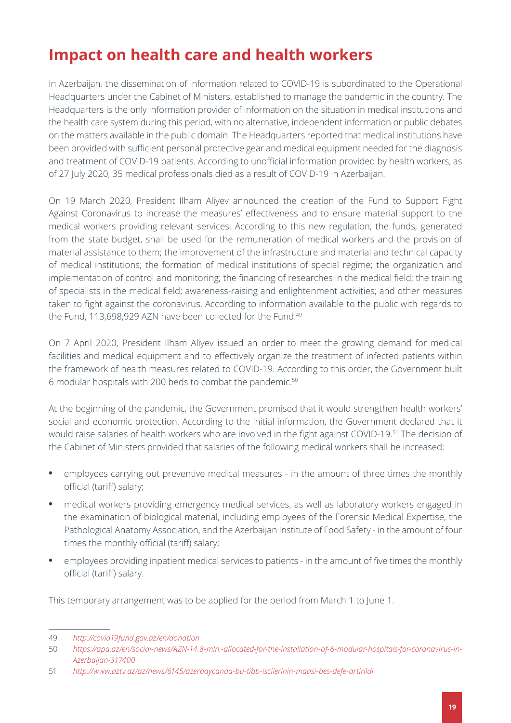### **Impact on health care and health workers**

In Azerbaijan, the dissemination of information related to COVID-19 is subordinated to the Operational Headquarters under the Cabinet of Ministers, established to manage the pandemic in the country. The Headquarters is the only information provider of information on the situation in medical institutions and the health care system during this period, with no alternative, independent information or public debates on the matters available in the public domain. The Headquarters reported that medical institutions have been provided with sufficient personal protective gear and medical equipment needed for the diagnosis and treatment of COVID-19 patients. According to unofficial information provided by health workers, as of 27 July 2020, 35 medical professionals died as a result of COVID-19 in Azerbaijan.

On 19 March 2020, President Ilham Aliyev announced the creation of the Fund to Support Fight Against Coronavirus to increase the measures' effectiveness and to ensure material support to the medical workers providing relevant services. According to this new regulation, the funds, generated from the state budget, shall be used for the remuneration of medical workers and the provision of material assistance to them; the improvement of the infrastructure and material and technical capacity of medical institutions; the formation of medical institutions of special regime; the organization and implementation of control and monitoring; the financing of researches in the medical field; the training of specialists in the medical field; awareness-raising and enlightenment activities; and other measures taken to fight against the coronavirus. According to information available to the public with regards to the Fund, 113,698,929 AZN have been collected for the Fund.<sup>49</sup>

On 7 April 2020, President Ilham Aliyev issued an order to meet the growing demand for medical facilities and medical equipment and to effectively organize the treatment of infected patients within the framework of health measures related to COVID-19. According to this order, the Government built 6 modular hospitals with 200 beds to combat the pandemic.50

At the beginning of the pandemic, the Government promised that it would strengthen health workers' social and economic protection. According to the initial information, the Government declared that it would raise salaries of health workers who are involved in the fight against COVID-19.51 The decision of the Cabinet of Ministers provided that salaries of the following medical workers shall be increased:

- **•** employees carrying out preventive medical measures in the amount of three times the monthly official (tariff) salary;
- **•** medical workers providing emergency medical services, as well as laboratory workers engaged in the examination of biological material, including employees of the Forensic Medical Expertise, the Pathological Anatomy Association, and the Azerbaijan Institute of Food Safety - in the amount of four times the monthly official (tariff) salary;
- **•** employees providing inpatient medical services to patients in the amount of five times the monthly official (tariff) salary.

This temporary arrangement was to be applied for the period from March 1 to June 1.

<sup>49</sup> *<http://covid19fund.gov.az/en/donation>*

<sup>50</sup> *[https://apa.az/en/social-news/AZN-14.8-mln.-allocated-for-the-installation-of-6-modular-hospitals-for-coronavirus-in-](https://apa.az/en/social-news/AZN-14.8-mln.-allocated-for-the-installation-of-6-modular-hospitals-for-coronavirus-in-Azerbaijan-317400)[Azerbaijan-317400](https://apa.az/en/social-news/AZN-14.8-mln.-allocated-for-the-installation-of-6-modular-hospitals-for-coronavirus-in-Azerbaijan-317400)*

<sup>51</sup> *<http://www.aztv.az/az/news/6145/azerbaycanda-bu-tibb-iscilerinin-maasi-bes-defe-artirildi>*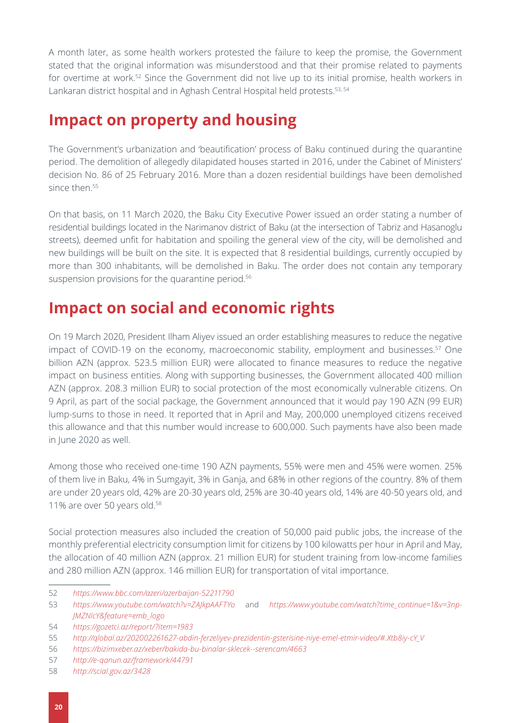A month later, as some health workers protested the failure to keep the promise, the Government stated that the original information was misunderstood and that their promise related to payments for overtime at work.<sup>52</sup> Since the Government did not live up to its initial promise, health workers in Lankaran district hospital and in Aghash Central Hospital held protests.<sup>53, 54</sup>

#### **Impact on property and housing**

The Government's urbanization and 'beautification' process of Baku continued during the quarantine period. The demolition of allegedly dilapidated houses started in 2016, under the Cabinet of Ministers' decision No. 86 of 25 February 2016. More than a dozen residential buildings have been demolished since then.<sup>55</sup>

On that basis, on 11 March 2020, the Baku City Executive Power issued an order stating a number of residential buildings located in the Narimanov district of Baku (at the intersection of Tabriz and Hasanoglu streets), deemed unfit for habitation and spoiling the general view of the city, will be demolished and new buildings will be built on the site. It is expected that 8 residential buildings, currently occupied by more than 300 inhabitants, will be demolished in Baku. The order does not contain any temporary suspension provisions for the quarantine period.<sup>56</sup>

#### **Impact on social and economic rights**

On 19 March 2020, President Ilham Aliyev issued an order establishing measures to reduce the negative impact of COVID-19 on the economy, macroeconomic stability, employment and businesses.<sup>57</sup> One billion AZN (approx. 523.5 million EUR) were allocated to finance measures to reduce the negative impact on business entities. Along with supporting businesses, the Government allocated 400 million AZN (approx. 208.3 million EUR) to social protection of the most economically vulnerable citizens. On 9 April, as part of the social package, the Government announced that it would pay 190 AZN (99 EUR) lump-sums to those in need. It reported that in April and May, 200,000 unemployed citizens received this allowance and that this number would increase to 600,000. Such payments have also been made in June 2020 as well.

Among those who received one-time 190 AZN payments, 55% were men and 45% were women. 25% of them live in Baku, 4% in Sumgayit, 3% in Ganja, and 68% in other regions of the country. 8% of them are under 20 years old, 42% are 20-30 years old, 25% are 30-40 years old, 14% are 40-50 years old, and 11% are over 50 years old.<sup>58</sup>

Social protection measures also included the creation of 50,000 paid public jobs, the increase of the monthly preferential electricity consumption limit for citizens by 100 kilowatts per hour in April and May, the allocation of 40 million AZN (approx. 21 million EUR) for student training from low-income families and 280 million AZN (approx. 146 million EUR) for transportation of vital importance.

<sup>52</sup> *<https://www.bbc.com/azeri/azerbaijan-52211790>*

<sup>53</sup> *<https://www.youtube.com/watch?v=ZAJkpAAFTYo>* and *[https://www.youtube.com/watch?time\\_continue=1&v=3np-](https://www.youtube.com/watch?time_continue=1&v=3np-JMZNlcY&feature=emb_logo)[JMZNlcY&feature=emb\\_logo](https://www.youtube.com/watch?time_continue=1&v=3np-JMZNlcY&feature=emb_logo)*

<sup>54</sup> *<https://gozetci.az/report/?item=1983>*

<sup>55</sup> *[http://qlobal.az/202002261627-abdin-ferzeliyev-prezidentin-gsterisine-niye-emel-etmir-video/#.Xtb8iy-cY\\_V](http://qlobal.az/202002261627-abdin-ferzeliyev-prezidentin-gsterisine-niye-emel-etmir-video/#.Xtb8iy)* 

<sup>56</sup> *<https://bizimxeber.az/xeber/bakida-bu-binalar-sklecek--serencam/4663>*

<sup>57</sup> *<http://e-qanun.az/framework/44791>*

<sup>58</sup> *<http://scial.gov.az/3428>*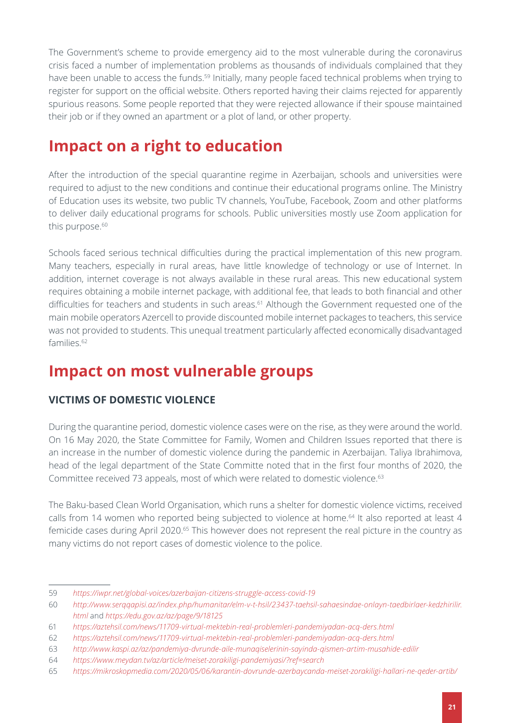The Government's scheme to provide emergency aid to the most vulnerable during the coronavirus crisis faced a number of implementation problems as thousands of individuals complained that they have been unable to access the funds.<sup>59</sup> Initially, many people faced technical problems when trying to register for support on the official website. Others reported having their claims rejected for apparently spurious reasons. Some people reported that they were rejected allowance if their spouse maintained their job or if they owned an apartment or a plot of land, or other property.

### **Impact on a right to education**

After the introduction of the special quarantine regime in Azerbaijan, schools and universities were required to adjust to the new conditions and continue their educational programs online. The Ministry of Education uses its website, two public TV channels, YouTube, Facebook, Zoom and other platforms to deliver daily educational programs for schools. Public universities mostly use Zoom application for this purpose.<sup>60</sup>

Schools faced serious technical difficulties during the practical implementation of this new program. Many teachers, especially in rural areas, have little knowledge of technology or use of Internet. In addition, internet coverage is not always available in these rural areas. This new educational system requires obtaining a mobile internet package, with additional fee, that leads to both financial and other difficulties for teachers and students in such areas.<sup>61</sup> Although the Government requested one of the main mobile operators Azercell to provide discounted mobile internet packages to teachers, this service was not provided to students. This unequal treatment particularly affected economically disadvantaged families.<sup>62</sup>

### **Impact on most vulnerable groups**

#### **VICTIMS OF DOMESTIC VIOLENCE**

During the quarantine period, domestic violence cases were on the rise, as they were around the world. On 16 May 2020, the State Committee for Family, Women and Children Issues reported that there is an increase in the number of domestic violence during the pandemic in Azerbaijan. Taliya Ibrahimova, head of the legal department of the State Committe noted that in the first four months of 2020, the Committee received 73 appeals, most of which were related to domestic violence.63

The Baku-based Clean World Organisation, which runs a shelter for domestic violence victims, received calls from 14 women who reported being subjected to violence at home.<sup>64</sup> It also reported at least 4 femicide cases during April 2020.65 This however does not represent the real picture in the country as many victims do not report cases of domestic violence to the police.

<sup>59</sup> *<https://iwpr.net/global-voices/azerbaijan-citizens-struggle-access-covid-19>*

<sup>60</sup> *[http://www.serqqapisi.az/index.php/humanitar/elm-v-t-hsil/23437-taehsil-sahaesindae-onlayn-taedbirlaer-kedzhirilir.](http://www.serqqapisi.az/index.php/humanitar/elm-v-t-hsil/23437-taehsil-sahaesindae-onlayn-taedbirlaer-kedzhirilir.html) [html](http://www.serqqapisi.az/index.php/humanitar/elm-v-t-hsil/23437-taehsil-sahaesindae-onlayn-taedbirlaer-kedzhirilir.html)* and *<https://edu.gov.az/az/page/9/18125>*

<sup>61</sup> *<https://aztehsil.com/news/11709-virtual-mektebin-real-problemleri-pandemiyadan-acq-ders.html>*

<sup>62</sup> *<https://aztehsil.com/news/11709-virtual-mektebin-real-problemleri-pandemiyadan-acq-ders.html>*

<sup>63</sup> *<http://www.kaspi.az/az/pandemiya-dvrunde-aile-munaqiselerinin-sayinda-qismen-artim-musahide-edilir>*

<sup>64</sup> *<https://www.meydan.tv/az/article/meiset-zorakiligi-pandemiyasi/?ref=search>*

<sup>65</sup> *<https://mikroskopmedia.com/2020/05/06/karantin-dovrunde-azerbaycanda-meiset-zorakiligi-hallari-ne-qeder-artib/>*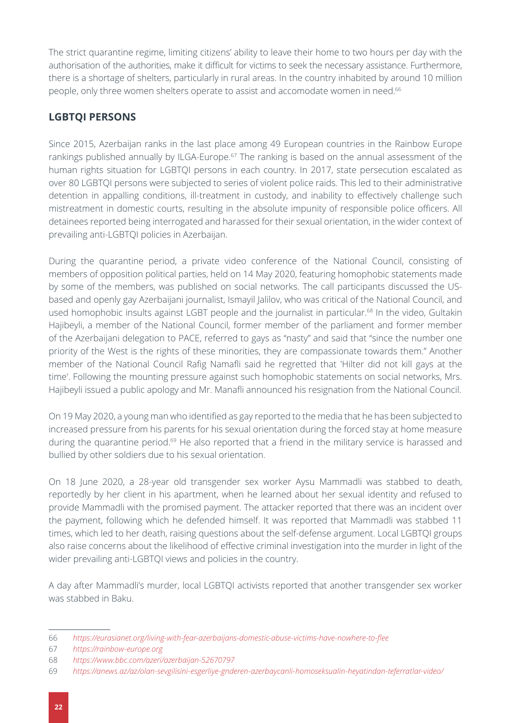The strict quarantine regime, limiting citizens' ability to leave their home to two hours per day with the authorisation of the authorities, make it difficult for victims to seek the necessary assistance. Furthermore, there is a shortage of shelters, particularly in rural areas. In the country inhabited by around 10 million people, only three women shelters operate to assist and accomodate women in need.66

#### **LGBTQI PERSONS**

Since 2015, Azerbaijan ranks in the last place among 49 European countries in the Rainbow Europe rankings published annually by ILGA-Europe.<sup>67</sup> The ranking is based on the annual assessment of the human rights situation for LGBTQI persons in each country. In 2017, state persecution escalated as over 80 LGBTQI persons were subjected to series of violent police raids. This led to their administrative detention in appalling conditions, ill-treatment in custody, and inability to effectively challenge such mistreatment in domestic courts, resulting in the absolute impunity of responsible police officers. All detainees reported being interrogated and harassed for their sexual orientation, in the wider context of prevailing anti-LGBTQI policies in Azerbaijan.

During the quarantine period, a private video conference of the National Council, consisting of members of opposition political parties, held on 14 May 2020, featuring homophobic statements made by some of the members, was published on social networks. The call participants discussed the USbased and openly gay Azerbaijani journalist, Ismayil Jalilov, who was critical of the National Council, and used homophobic insults against LGBT people and the journalist in particular.<sup>68</sup> In the video, Gultakin Hajibeyli, a member of the National Council, former member of the parliament and former member of the Azerbaijani delegation to PACE, referred to gays as "nasty" and said that "since the number one priority of the West is the rights of these minorities, they are compassionate towards them." Another member of the National Council Rafig Namafli said he regretted that 'Hilter did not kill gays at the time'. Following the mounting pressure against such homophobic statements on social networks, Mrs. Hajibeyli issued a public apology and Mr. Manafli announced his resignation from the National Council.

On 19 May 2020, a young man who identified as gay reported to the media that he has been subjected to increased pressure from his parents for his sexual orientation during the forced stay at home measure during the quarantine period.<sup>69</sup> He also reported that a friend in the military service is harassed and bullied by other soldiers due to his sexual orientation.

On 18 June 2020, a 28-year old transgender sex worker Aysu Mammadli was stabbed to death, reportedly by her client in his apartment, when he learned about her sexual identity and refused to provide Mammadli with the promised payment. The attacker reported that there was an incident over the payment, following which he defended himself. It was reported that Mammadli was stabbed 11 times, which led to her death, raising questions about the self-defense argument. Local LGBTQI groups also raise concerns about the likelihood of effective criminal investigation into the murder in light of the wider prevailing anti-LGBTQI views and policies in the country.

A day after Mammadli's murder, local LGBTQI activists reported that another transgender sex worker was stabbed in Baku.

<sup>66</sup> *<https://eurasianet.org/living-with-fear-azerbaijans-domestic-abuse-victims-have-nowhere-to-flee>*

<sup>67</sup> *<https://rainbow-europe.org>*

<sup>68</sup> *<https://www.bbc.com/azeri/azerbaijan-52670797>*

<sup>69</sup> *<https://anews.az/az/olan-sevgilisini-esgerliye-gnderen-azerbaycanli-homoseksualin-heyatindan-teferratlar-video/>*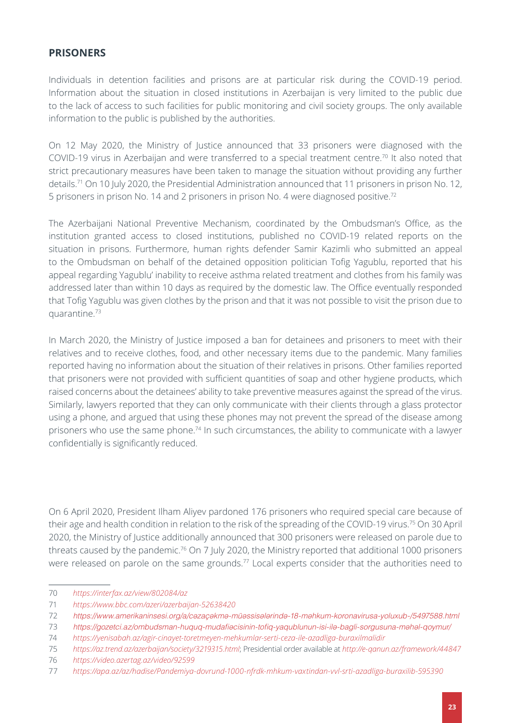#### **PRISONERS**

Individuals in detention facilities and prisons are at particular risk during the COVID-19 period. Information about the situation in closed institutions in Azerbaijan is very limited to the public due to the lack of access to such facilities for public monitoring and civil society groups. The only available information to the public is published by the authorities.

On 12 May 2020, the Ministry of Justice announced that 33 prisoners were diagnosed with the COVID-19 virus in Azerbaijan and were transferred to a special treatment centre.70 It also noted that strict precautionary measures have been taken to manage the situation without providing any further details.<sup>71</sup> On 10 July 2020, the Presidential Administration announced that 11 prisoners in prison No. 12, 5 prisoners in prison No. 14 and 2 prisoners in prison No. 4 were diagnosed positive.72

The Azerbaijani National Preventive Mechanism, coordinated by the Ombudsman's Office, as the institution granted access to closed institutions, published no COVID-19 related reports on the situation in prisons. Furthermore, human rights defender Samir Kazimli who submitted an appeal to the Ombudsman on behalf of the detained opposition politician Tofig Yagublu, reported that his appeal regarding Yagublu' inability to receive asthma related treatment and clothes from his family was addressed later than within 10 days as required by the domestic law. The Office eventually responded that Tofig Yagublu was given clothes by the prison and that it was not possible to visit the prison due to quarantine.73

In March 2020, the Ministry of Justice imposed a ban for detainees and prisoners to meet with their relatives and to receive clothes, food, and other necessary items due to the pandemic. Many families reported having no information about the situation of their relatives in prisons. Other families reported that prisoners were not provided with sufficient quantities of soap and other hygiene products, which raised concerns about the detainees' ability to take preventive measures against the spread of the virus. Similarly, lawyers reported that they can only communicate with their clients through a glass protector using a phone, and argued that using these phones may not prevent the spread of the disease among prisoners who use the same phone.<sup>74</sup> In such circumstances, the ability to communicate with a lawyer confidentially is significantly reduced.

On 6 April 2020, President Ilham Aliyev pardoned 176 prisoners who required special care because of their age and health condition in relation to the risk of the spreading of the COVID-19 virus.75 On 30 April 2020, the Ministry of Justice additionally announced that 300 prisoners were released on parole due to threats caused by the pandemic.<sup>76</sup> On 7 July 2020, the Ministry reported that additional 1000 prisoners were released on parole on the same grounds.<sup>77</sup> Local experts consider that the authorities need to

74 *<https://yenisabah.az/agir-cinayet-toretmeyen-mehkumlar-serti-ceza-ile-azadliga-buraxilmalidir>*

76 *<https://video.azertag.az/video/92599>*

<sup>70</sup> *<https://interfax.az/view/802084/az>*

<sup>71</sup> *<https://www.bbc.com/azeri/azerbaijan-52638420>*

<sup>72</sup> [https://www.amerikaninsesi.org/a/cəzaçəkmə-müəssisələrində-18-məhkum-koronavirusa-yoluxub-/5497588.html](https://www.amerikaninsesi.org/a/cəzaçəkmə-müəssisələrində-18-məhkum-koronavirusa-yoluxub-/5497588.h)

<sup>73</sup> https://gozetci.az/ombudsman-huquq-mudafiəcisinin-tofiq-yaqublunun-isi-ilə-bagli-sorgusuna-məhəl-qoymur/

<sup>75</sup> *<https://az.trend.az/azerbaijan/society/3219315.html>*; Presidential order available at *<http://e-qanun.az/framework/44847>*

<sup>77</sup> *<https://apa.az/az/hadise/Pandemiya-dovrund-1000-nfrdk-mhkum-vaxtindan-vvl-srti-azadliga-buraxilib-595390>*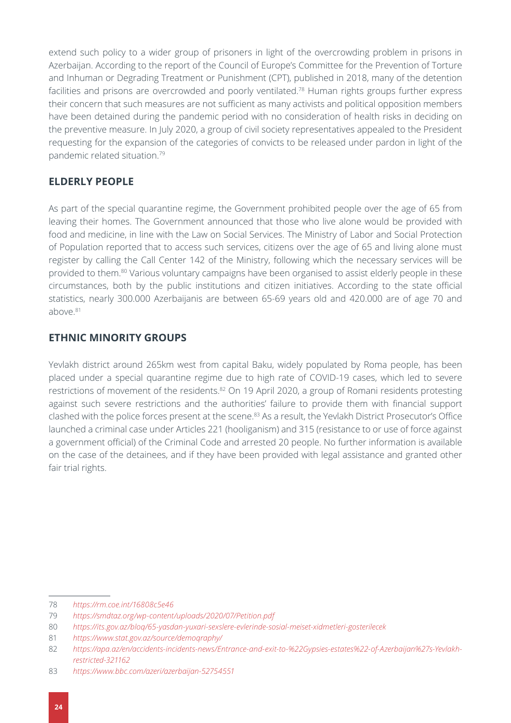extend such policy to a wider group of prisoners in light of the overcrowding problem in prisons in Azerbaijan. According to the report of the Council of Europe's Committee for the Prevention of Torture and Inhuman or Degrading Treatment or Punishment (CPT), published in 2018, many of the detention facilities and prisons are overcrowded and poorly ventilated.<sup>78</sup> Human rights groups further express their concern that such measures are not sufficient as many activists and political opposition members have been detained during the pandemic period with no consideration of health risks in deciding on the preventive measure. In July 2020, a group of civil society representatives appealed to the President requesting for the expansion of the categories of convicts to be released under pardon in light of the pandemic related situation.79

#### **ELDERLY PEOPLE**

As part of the special quarantine regime, the Government prohibited people over the age of 65 from leaving their homes. The Government announced that those who live alone would be provided with food and medicine, in line with the Law on Social Services. The Ministry of Labor and Social Protection of Population reported that to access such services, citizens over the age of 65 and living alone must register by calling the Call Center 142 of the Ministry, following which the necessary services will be provided to them.<sup>80</sup> Various voluntary campaigns have been organised to assist elderly people in these circumstances, both by the public institutions and citizen initiatives. According to the state official statistics, nearly 300.000 Azerbaijanis are between 65-69 years old and 420.000 are of age 70 and above.81

#### **ETHNIC MINORITY GROUPS**

Yevlakh district around 265km west from capital Baku, widely populated by Roma people, has been placed under a special quarantine regime due to high rate of COVID-19 cases, which led to severe restrictions of movement of the residents.<sup>82</sup> On 19 April 2020, a group of Romani residents protesting against such severe restrictions and the authorities' failure to provide them with financial support clashed with the police forces present at the scene.<sup>83</sup> As a result, the Yevlakh District Prosecutor's Office launched a criminal case under Articles 221 (hooliganism) and 315 (resistance to or use of force against a government official) of the Criminal Code and arrested 20 people. No further information is available on the case of the detainees, and if they have been provided with legal assistance and granted other fair trial rights.

<sup>78</sup> *<https://rm.coe.int/16808c5e46>*

<sup>79</sup> *<https://smdtaz.org/wp-content/uploads/2020/07/Petition.pdf>*

<sup>80</sup> *<https://its.gov.az/bloq/65-yasdan-yuxari-sexslere-evlerinde-sosial-meiset-xidmetleri-gosterilecek>*

<sup>81</sup> *<https://www.stat.gov.az/source/demoqraphy/>*

<sup>82</sup> *[https://apa.az/en/accidents-incidents-news/Entrance-and-exit-to-%22Gypsies-estates%22-of-Azerbaijan%27s-Yevlakh](https://apa.az/en/accidents-incidents-news/Entrance-and-exit-to-%22Gypsies-estates%22-of-Azerbaijan%27s-Yevlakh-restricted-321162)[restricted-321162](https://apa.az/en/accidents-incidents-news/Entrance-and-exit-to-%22Gypsies-estates%22-of-Azerbaijan%27s-Yevlakh-restricted-321162)*

<sup>83</sup> *<https://www.bbc.com/azeri/azerbaijan-52754551>*